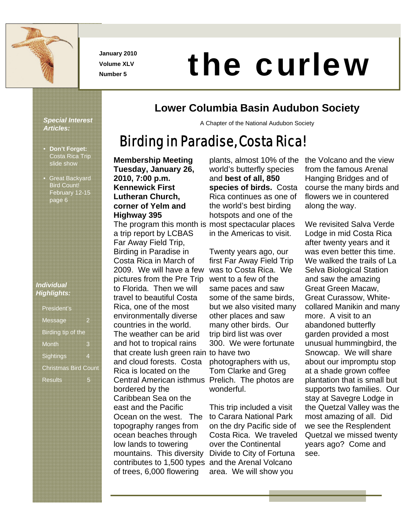

**January 2010 Volume XLV** 

# Number 5<br>Number 5 **the curlew**

### **Lower Columbia Basin Audubon Society**

A Chapter of the National Audubon Society

# Birding in Paradise, Costa Rica!

slide show • Great Backyard Bird Count! February 12-15 page 6

• **Don't Forget:** Costa Rica Trip

*Special Interest* 

*Articles:* 

#### *Individual Highlights:*

| <b>President's</b>          |   |
|-----------------------------|---|
| Message                     |   |
| <b>Birding tip of the</b>   |   |
| Month                       |   |
| Sightings                   |   |
| <b>Christmas Bird Count</b> |   |
| <b>Results</b>              | ۰ |

#### **Membership Meeting Tuesday, January 26, 2010, 7:00 p.m. Kennewick First Lutheran Church, corner of Yelm and Highway 395**  The program this month is most spectacular places a trip report by LCBAS Far Away Field Trip, Birding in Paradise in Costa Rica in March of 2009. We will have a few pictures from the Pre Trip to Florida. Then we will travel to beautiful Costa Rica, one of the most environmentally diverse countries in the world. The weather can be arid and hot to tropical rains that create lush green rain to have two and cloud forests. Costa Rica is located on the Central American isthmus Prelich. The photos are bordered by the Caribbean Sea on the east and the Pacific Ocean on the west. The topography ranges from ocean beaches through low lands to towering mountains. This diversity contributes to 1,500 types of trees, 6,000 flowering

plants, almost 10% of the world's butterfly species and **best of all, 850 species of birds.** Costa Rica continues as one of the world's best birding hotspots and one of the in the Americas to visit.

Twenty years ago, our first Far Away Field Trip was to Costa Rica. We went to a few of the same paces and saw some of the same birds, but we also visited many other places and saw many other birds. Our trip bird list was over 300. We were fortunate photographers with us, Tom Clarke and Greg wonderful.

This trip included a visit to Carara National Park on the dry Pacific side of Costa Rica. We traveled over the Continental Divide to City of Fortuna and the Arenal Volcano area. We will show you

the Volcano and the view from the famous Arenal Hanging Bridges and of course the many birds and flowers we in countered along the way.

We revisited Salva Verde Lodge in mid Costa Rica after twenty years and it was even better this time. We walked the trails of La Selva Biological Station and saw the amazing Great Green Macaw, Great Curassow, Whitecollared Manikin and many more. A visit to an abandoned butterfly garden provided a most unusual hummingbird, the Snowcap. We will share about our impromptu stop at a shade grown coffee plantation that is small but supports two families. Our stay at Savegre Lodge in the Quetzal Valley was the most amazing of all. Did we see the Resplendent Quetzal we missed twenty years ago? Come and see.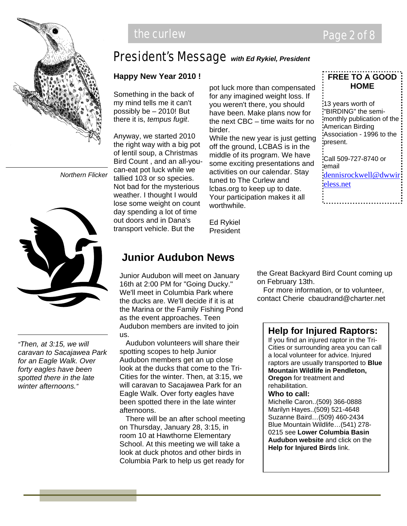

# President's Message *with Ed Rykiel, President*

#### **Happy New Year 2010 !**

Something in the back of my mind tells me it can't possibly be – 2010! But there it is, *tempus fugit*.

Anyway, we started 2010 the right way with a big pot of lentil soup, a Christmas Bird Count , and an all-youcan-eat pot luck while we tallied 103 or so species. Not bad for the mysterious weather. I thought I would lose some weight on count day spending a lot of time out doors and in Dana's transport vehicle. But the

pot luck more than compensated for any imagined weight loss. If you weren't there, you should have been. Make plans now for the next CBC – time waits for no birder.

While the new year is just getting off the ground, LCBAS is in the middle of its program. We have some exciting presentations and activities on our calendar. Stay tuned to The Curlew and lcbas.org to keep up to date. Your participation makes it all worthwhile.

Ed Rykiel President

#### **FREE TO A GOOD HOME**

13 years worth of "BIRDING" the semimonthly publication of the American Birding Association - 1996 to the present. Call 509-727-8740 or

email dennisrockwell@dwwir: eless.net

*Northern Flicker*



*"Then, at 3:15, we will caravan to Sacajawea Park for an Eagle Walk. Over forty eagles have been spotted there in the late winter afternoons."*

### **Junior Audubon News**

Junior Audubon will meet on January 16th at 2:00 PM for "Going Ducky." We'll meet in Columbia Park where the ducks are. We'll decide if it is at the Marina or the Family Fishing Pond as the event approaches. Teen Audubon members are invited to join us.

 Audubon volunteers will share their spotting scopes to help Junior Audubon members get an up close look at the ducks that come to the Tri-Cities for the winter. Then, at 3:15, we will caravan to Sacajawea Park for an Eagle Walk. Over forty eagles have been spotted there in the late winter afternoons.

 There will be an after school meeting on Thursday, January 28, 3:15, in room 10 at Hawthorne Elementary School. At this meeting we will take a look at duck photos and other birds in Columbia Park to help us get ready for

the Great Backyard Bird Count coming up on February 13th.

 For more information, or to volunteer, contact Cherie cbaudrand@charter.net

#### **Help for Injured Raptors:**

If you find an injured raptor in the Tri-Cities or surrounding area you can call a local volunteer for advice. Injured raptors are usually transported to **Blue Mountain Wildlife in Pendleton, Oregon** for treatment and rehabilitation.

#### **Who to call:**

Michelle Caron..(509) 366-0888 Marilyn Hayes..(509) 521-4648 Suzanne Baird…(509) 460-2434 Blue Mountain Wildlife…(541) 278- 0215 see **Lower Columbia Basin Audubon website** and click on the **Help for Injured Birds** link.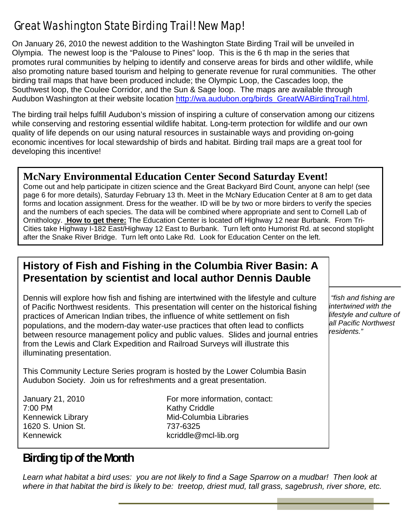# Great Washington State Birding Trail! New Map!

On January 26, 2010 the newest addition to the Washington State Birding Trail will be unveiled in Olympia. The newest loop is the "Palouse to Pines" loop. This is the 6 th map in the series that promotes rural communities by helping to identify and conserve areas for birds and other wildlife, while also promoting nature based tourism and helping to generate revenue for rural communities. The other birding trail maps that have been produced include; the Olympic Loop, the Cascades loop, the Southwest loop, the Coulee Corridor, and the Sun & Sage loop. The maps are available through Audubon Washington at their website location http://wa.audubon.org/birds\_GreatWABirdingTrail.html.

The birding trail helps fulfill Audubon's mission of inspiring a culture of conservation among our citizens while conserving and restoring essential wildlife habitat. Long-term protection for wildlife and our own quality of life depends on our using natural resources in sustainable ways and providing on-going economic incentives for local stewardship of birds and habitat. Birding trail maps are a great tool for developing this incentive!

#### **McNary Environmental Education Center Second Saturday Event!**

Come out and help participate in citizen science and the Great Backyard Bird Count, anyone can help! (see page 6 for more details), Saturday February 13 th. Meet in the McNary Education Center at 8 am to get data forms and location assignment. Dress for the weather. ID will be by two or more birders to verify the species and the numbers of each species. The data will be combined where appropriate and sent to Cornell Lab of Ornithology. **How to get there:** The Education Center is located off Highway 12 near Burbank. From Tri-Cities take Highway I-182 East/Highway 12 East to Burbank. Turn left onto Humorist Rd. at second stoplight after the Snake River Bridge. Turn left onto Lake Rd. Look for Education Center on the left.

#### **History of Fish and Fishing in the Columbia River Basin: A Presentation by scientist and local author Dennis Dauble**

Dennis will explore how fish and fishing are intertwined with the lifestyle and culture of Pacific Northwest residents. This presentation will center on the historical fishing practices of American Indian tribes, the influence of white settlement on fish populations, and the modern-day water-use practices that often lead to conflicts between resource management policy and public values. Slides and journal entries from the Lewis and Clark Expedition and Railroad Surveys will illustrate this illuminating presentation.

This Community Lecture Series program is hosted by the Lower Columbia Basin Audubon Society. Join us for refreshments and a great presentation.

7:00 PM Kathy Criddle 1620 S. Union St. 737-6325

January 21, 2010 For more information, contact: Kennewick Library **Mid-Columbia Libraries** Kennewick **Kennewick** kcriddle@mcl-lib.org

*"fish and fishing are intertwined with the lifestyle and culture of all Pacific Northwest residents."* 

# **Birding tip of the Month**

*Learn what habitat a bird uses: you are not likely to find a Sage Sparrow on a mudbar! Then look at where in that habitat the bird is likely to be: treetop, driest mud, tall grass, sagebrush, river shore, etc.*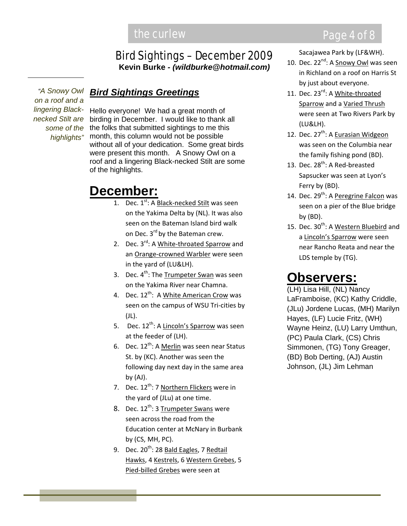# the curlew **Page 4 of 8**

#### Bird Sightings – December 2009 **Kevin Burke** *- (wildburke@hotmail.com)*

*"A Snowy Owl on a roof and a lingering Blacknecked Stilt are highlights"*

#### *Bird Sightings Greetings*

Hello everyone! We had a great month of birding in December. I would like to thank all some of the the folks that submitted sightings to me this month, this column would not be possible without all of your dedication. Some great birds were present this month. A Snowy Owl on a roof and a lingering Black-necked Stilt are some of the highlights.

# **December:**

- 1. Dec.  $1^{st}$ : A Black-necked Stilt was seen on the Yakima Delta by (NL). It was also seen on the Bateman Island bird walk on Dec. 3<sup>rd</sup> by the Bateman crew.
- 2. Dec. 3<sup>rd</sup>: A White-throated Sparrow and an Orange‐crowned Warbler were seen in the yard of (LU&LH).
- 3. Dec. 4<sup>th</sup>: The Trumpeter Swan was seen on the Yakima River near Chamna.
- 4. Dec. 12<sup>th</sup>: A <u>White American Crow</u> was seen on the campus of WSU Tri‐cities by (JL).
- 5. Dec. 12<sup>th</sup>: A Lincoln's Sparrow was seen at the feeder of (LH).
- 6. Dec. 12<sup>th</sup>: A <u>Merlin</u> was seen near Status St. by (KC). Another was seen the following day next day in the same area by  $(AJ)$ .
- 7. Dec. 12<sup>th</sup>: 7 Northern Flickers were in the yard of (JLu) at one time.
- 8. Dec. 12<sup>th</sup>: 3 Trumpeter Swans were seen across the road from the Education center at McNary in Burbank by (CS, MH, PC).
- 9. Dec. 20<sup>th</sup>: 28 <u>Bald Eagles</u>, 7 <u>Redtail</u> Hawks, 4 Kestrels, 6 Western Grebes, 5 Pied‐billed Grebes were seen at

Sacajawea Park by (LF&WH).

- 10. Dec. 22<sup>nd</sup>: A **Snowy Owl** was seen in Richland on a roof on Harris St by just about everyone.
- 11. Dec. 23<sup>rd</sup>: A White-throated Sparrow and a Varied Thrush were seen at Two Rivers Park by (LU&LH).
- 12. Dec. 27<sup>th</sup>: A **Eurasian Widgeon** was seen on the Columbia near the family fishing pond (BD).
- 13. Dec. 28<sup>th</sup>: A Red-breasted Sapsucker was seen at Lyon's Ferry by (BD).
- 14. Dec. 29<sup>th</sup>: A Peregrine Falcon was seen on a pier of the Blue bridge by (BD).
- 15. Dec. 30<sup>th</sup>: A Western Bluebird and a Lincoln's Sparrow were seen near Rancho Reata and near the LDS temple by (TG).

# **Observers:**

(LH) Lisa Hill, (NL) Nancy LaFramboise, (KC) Kathy Criddle, (JLu) Jordene Lucas, (MH) Marilyn Hayes, (LF) Lucie Fritz, (WH) Wayne Heinz, (LU) Larry Umthun, (PC) Paula Clark, (CS) Chris Simmonen, (TG) Tony Greager, (BD) Bob Derting, (AJ) Austin Johnson, (JL) Jim Lehman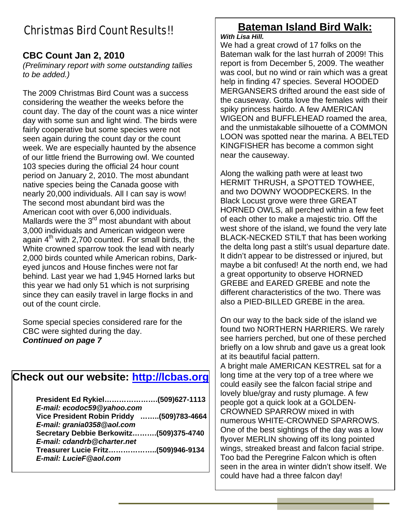# Christmas Bird Count Results!!

#### **CBC Count Jan 2, 2010**

*(Preliminary report with some outstanding tallies to be added.)* 

The 2009 Christmas Bird Count was a success considering the weather the weeks before the count day. The day of the count was a nice winter day with some sun and light wind. The birds were fairly cooperative but some species were not seen again during the count day or the count week. We are especially haunted by the absence of our little friend the Burrowing owl. We counted 103 species during the official 24 hour count period on January 2, 2010. The most abundant native species being the Canada goose with nearly 20,000 individuals. All I can say is wow! The second most abundant bird was the American coot with over 6,000 individuals. Mallards were the  $3<sup>rd</sup>$  most abundant with about 3,000 individuals and American widgeon were again  $4<sup>th</sup>$  with 2,700 counted. For small birds, the White crowned sparrow took the lead with nearly 2,000 birds counted while American robins, Darkeyed juncos and House finches were not far behind. Last year we had 1,945 Horned larks but this year we had only 51 which is not surprising since they can easily travel in large flocks in and out of the count circle.

Some special species considered rare for the CBC were sighted during the day. *Continued on page 7* 

#### **Check out our website: http://lcbas.org**

| President Ed Rykiel(509)627-1113          |  |
|-------------------------------------------|--|
| E-mail: ecodoc59@yahoo.com                |  |
| Vice President Robin Priddy (509)783-4664 |  |
| E-mail: grania0358@aol.com                |  |
| Secretary Debbie Berkowitz(509)375-4740   |  |
| E-mail: cdandrb@charter.net               |  |
| Treasurer Lucie Fritz(509)946-9134        |  |
| E-mail: LucieF@aol.com                    |  |
|                                           |  |

## **Bateman Island Bird Walk:**

#### *With Lisa Hill.*

We had a great crowd of 17 folks on the Bateman walk for the last hurrah of 2009! This report is from December 5, 2009. The weather was cool, but no wind or rain which was a great help in finding 47 species. Several HOODED MERGANSERS drifted around the east side of the causeway. Gotta love the females with their spiky princess hairdo. A few AMERICAN WIGEON and BUFFLEHEAD roamed the area, and the unmistakable silhouette of a COMMON LOON was spotted near the marina. A BELTED KINGFISHER has become a common sight near the causeway.

Along the walking path were at least two HERMIT THRUSH, a SPOTTED TOWHEE, and two DOWNY WOODPECKERS. In the Black Locust grove were three GREAT HORNED OWLS, all perched within a few feet of each other to make a majestic trio. Off the west shore of the island, we found the very late BLACK-NECKED STILT that has been working the delta long past a stilt's usual departure date. It didn't appear to be distressed or injured, but maybe a bit confused! At the north end, we had a great opportunity to observe HORNED GREBE and EARED GREBE and note the different characteristics of the two. There was also a PIED-BILLED GREBE in the area.

On our way to the back side of the island we found two NORTHERN HARRIERS. We rarely see harriers perched, but one of these perched briefly on a low shrub and gave us a great look at its beautiful facial pattern.

A bright male AMERICAN KESTREL sat for a long time at the very top of a tree where we could easily see the falcon facial stripe and lovely blue/gray and rusty plumage. A few people got a quick look at a GOLDEN-CROWNED SPARROW mixed in with numerous WHITE-CROWNED SPARROWS. One of the best sightings of the day was a low flyover MERLIN showing off its long pointed wings, streaked breast and falcon facial stripe. Too bad the Peregrine Falcon which is often seen in the area in winter didn't show itself. We could have had a three falcon day!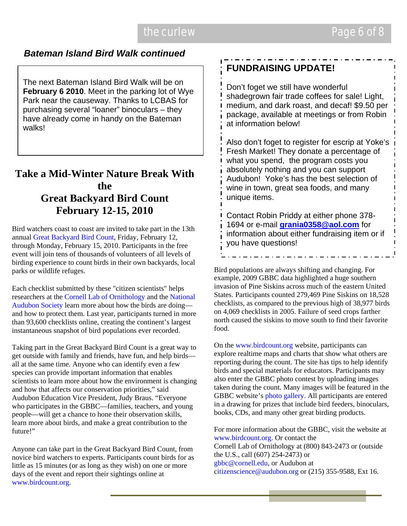#### *Bateman Island Bird Walk continued*

The next Bateman Island Bird Walk will be on **February 6 2010**. Meet in the parking lot of Wye Park near the causeway. Thanks to LCBAS for purchasing several "loaner" binoculars – they have already come in handy on the Bateman walks!

#### **Take a Mid-Winter Nature Break With the Great Backyard Bird Count February 12-15, 2010**

Bird watchers coast to coast are invited to take part in the 13th annual Great Backyard Bird Count, Friday, February 12, through Monday, February 15, 2010. Participants in the free event will join tens of thousands of volunteers of all levels of birding experience to count birds in their own backyards, local parks or wildlife refuges.

Each checklist submitted by these "citizen scientists" helps researchers at the Cornell Lab of Ornithology and the National Audubon Society learn more about how the birds are doing and how to protect them. Last year, participants turned in more than 93,600 checklists online, creating the continent's largest instantaneous snapshot of bird populations ever recorded.

Taking part in the Great Backyard Bird Count is a great way to get outside with family and friends, have fun, and help birds all at the same time. Anyone who can identify even a few species can provide important information that enables scientists to learn more about how the environment is changing and how that affects our conservation priorities," said Audubon Education Vice President, Judy Braus. "Everyone who participates in the GBBC—families, teachers, and young people—will get a chance to hone their observation skills, learn more about birds, and make a great contribution to the future!"

Anyone can take part in the Great Backyard Bird Count, from novice bird watchers to experts. Participants count birds for as little as 15 minutes (or as long as they wish) on one or more days of the event and report their sightings online at www.birdcount.org.

### **FUNDRAISING UPDATE!**

Don't foget we still have wonderful shadegrown fair trade coffees for sale! Light, medium, and dark roast, and decaf! \$9.50 per package, available at meetings or from Robin at information below!

Also don't foget to register for escrip at Yoke's Fresh Market! They donate a percentage of what you spend, the program costs you absolutely nothing and you can support Audubon! Yoke's has the best selection of wine in town, great sea foods, and many unique items.

Contact Robin Priddy at either phone 378- 1694 or e-mail **grania0358@aol.com** for information about either fundraising item or if you have questions!

Bird populations are always shifting and changing. For example, 2009 GBBC data highlighted a huge southern invasion of Pine Siskins across much of the eastern United States. Participants counted 279,469 Pine Siskins on 18,528 checklists, as compared to the previous high of 38,977 birds on 4,069 checklists in 2005. Failure of seed crops farther north caused the siskins to move south to find their favorite food.

On the www.birdcount.org website, participants can explore realtime maps and charts that show what others are reporting during the count. The site has tips to help identify birds and special materials for educators. Participants may also enter the GBBC photo contest by uploading images taken during the count. Many images will be featured in the GBBC website's photo gallery. All participants are entered in a drawing for prizes that include bird feeders, binoculars, books, CDs, and many other great birding products.

For more information about the GBBC, visit the website at www.birdcount.org. Or contact the Cornell Lab of Ornithology at (800) 843-2473 or (outside the U.S., call (607) 254-2473) or gbbc@cornell.edu, or Audubon at citizenscience@audubon.org or (215) 355-9588, Ext 16.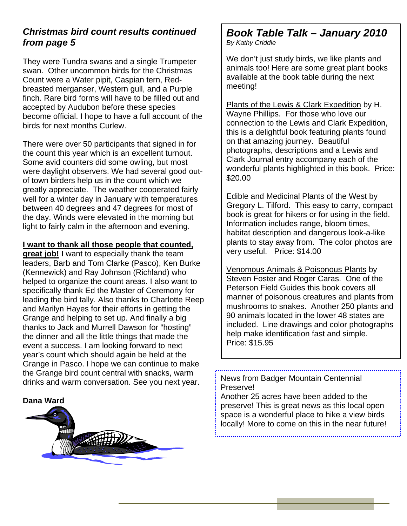#### *Christmas bird count results continued from page 5*

They were Tundra swans and a single Trumpeter swan. Other uncommon birds for the Christmas Count were a Water pipit, Caspian tern, Redbreasted merganser, Western gull, and a Purple finch. Rare bird forms will have to be filled out and accepted by Audubon before these species become official. I hope to have a full account of the birds for next months Curlew.

There were over 50 participants that signed in for the count this year which is an excellent turnout. Some avid counters did some owling, but most were daylight observers. We had several good outof town birders help us in the count which we greatly appreciate. The weather cooperated fairly well for a winter day in January with temperatures between 40 degrees and 47 degrees for most of the day. Winds were elevated in the morning but light to fairly calm in the afternoon and evening.

#### **I want to thank all those people that counted,**

**great job!** I want to especially thank the team leaders, Barb and Tom Clarke (Pasco), Ken Burke (Kennewick) and Ray Johnson (Richland) who helped to organize the count areas. I also want to specifically thank Ed the Master of Ceremony for leading the bird tally. Also thanks to Charlotte Reep and Marilyn Hayes for their efforts in getting the Grange and helping to set up. And finally a big thanks to Jack and Murrell Dawson for "hosting" the dinner and all the little things that made the event a success. I am looking forward to next year's count which should again be held at the Grange in Pasco. I hope we can continue to make the Grange bird count central with snacks, warm drinks and warm conversation. See you next year.



# *Book Table Talk – January 2010*

*By Kathy Criddle* 

We don't just study birds, we like plants and animals too! Here are some great plant books available at the book table during the next meeting!

Plants of the Lewis & Clark Expedition by H. Wayne Phillips. For those who love our connection to the Lewis and Clark Expedition, this is a delightful book featuring plants found on that amazing journey. Beautiful photographs, descriptions and a Lewis and Clark Journal entry accompany each of the wonderful plants highlighted in this book. Price: \$20.00

Edible and Medicinal Plants of the West by Gregory L. Tilford. This easy to carry, compact book is great for hikers or for using in the field. Information includes range, bloom times, habitat description and dangerous look-a-like plants to stay away from. The color photos are very useful. Price: \$14.00

Venomous Animals & Poisonous Plants by Steven Foster and Roger Caras. One of the Peterson Field Guides this book covers all manner of poisonous creatures and plants from mushrooms to snakes. Another 250 plants and 90 animals located in the lower 48 states are included. Line drawings and color photographs help make identification fast and simple. Price: \$15.95

News from Badger Mountain Centennial Preserve!

Another 25 acres have been added to the preserve! This is great news as this local open space is a wonderful place to hike a view birds locally! More to come on this in the near future!